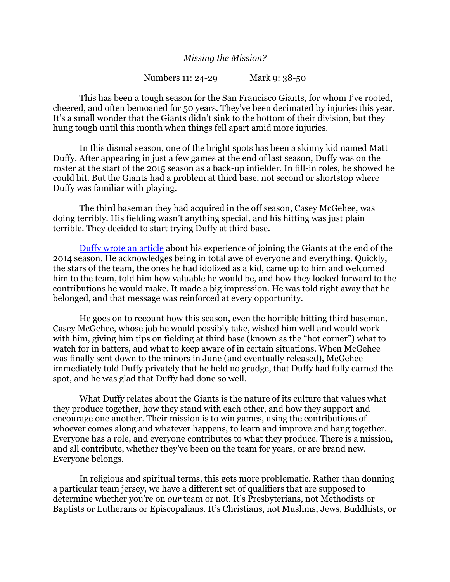## *Missing the Mission?*

Numbers 11: 24-29 Mark 9: 38-50

This has been a tough season for the San Francisco Giants, for whom I've rooted, cheered, and often bemoaned for 50 years. They've been decimated by injuries this year. It's a small wonder that the Giants didn't sink to the bottom of their division, but they hung tough until this month when things fell apart amid more injuries.

In this dismal season, one of the bright spots has been a skinny kid named Matt Duffy. After appearing in just a few games at the end of last season, Duffy was on the roster at the start of the 2015 season as a back-up infielder. In fill-in roles, he showed he could hit. But the Giants had a problem at third base, not second or shortstop where Duffy was familiar with playing.

The third baseman they had acquired in the off season, Casey McGehee, was doing terribly. His fielding wasn't anything special, and his hitting was just plain terrible. They decided to start trying Duffy at third base.

[Duffy wrote an article](http://www.theplayerstribune.com/matt-duffy-giants-the-new-kid/) about his experience of joining the Giants at the end of the 2014 season. He acknowledges being in total awe of everyone and everything. Quickly, the stars of the team, the ones he had idolized as a kid, came up to him and welcomed him to the team, told him how valuable he would be, and how they looked forward to the contributions he would make. It made a big impression. He was told right away that he belonged, and that message was reinforced at every opportunity.

He goes on to recount how this season, even the horrible hitting third baseman, Casey McGehee, whose job he would possibly take, wished him well and would work with him, giving him tips on fielding at third base (known as the "hot corner") what to watch for in batters, and what to keep aware of in certain situations. When McGehee was finally sent down to the minors in June (and eventually released), McGehee immediately told Duffy privately that he held no grudge, that Duffy had fully earned the spot, and he was glad that Duffy had done so well.

What Duffy relates about the Giants is the nature of its culture that values what they produce together, how they stand with each other, and how they support and encourage one another. Their mission is to win games, using the contributions of whoever comes along and whatever happens, to learn and improve and hang together. Everyone has a role, and everyone contributes to what they produce. There is a mission, and all contribute, whether they've been on the team for years, or are brand new. Everyone belongs.

In religious and spiritual terms, this gets more problematic. Rather than donning a particular team jersey, we have a different set of qualifiers that are supposed to determine whether you're on *our* team or not. It's Presbyterians, not Methodists or Baptists or Lutherans or Episcopalians. It's Christians, not Muslims, Jews, Buddhists, or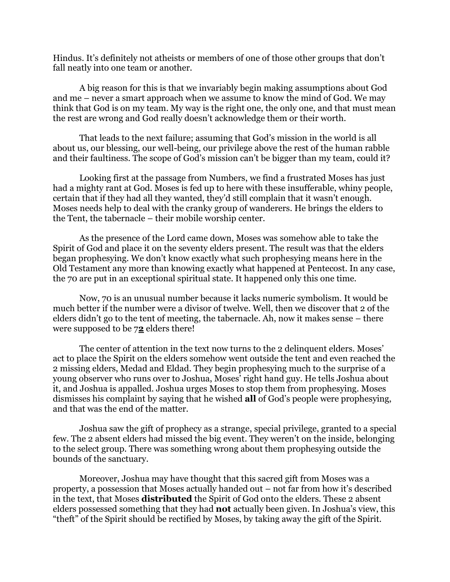Hindus. It's definitely not atheists or members of one of those other groups that don't fall neatly into one team or another.

A big reason for this is that we invariably begin making assumptions about God and me – never a smart approach when we assume to know the mind of God. We may think that God is on my team. My way is the right one, the only one, and that must mean the rest are wrong and God really doesn't acknowledge them or their worth.

That leads to the next failure; assuming that God's mission in the world is all about us, our blessing, our well-being, our privilege above the rest of the human rabble and their faultiness. The scope of God's mission can't be bigger than my team, could it?

Looking first at the passage from Numbers, we find a frustrated Moses has just had a mighty rant at God. Moses is fed up to here with these insufferable, whiny people, certain that if they had all they wanted, they'd still complain that it wasn't enough. Moses needs help to deal with the cranky group of wanderers. He brings the elders to the Tent, the tabernacle – their mobile worship center.

As the presence of the Lord came down, Moses was somehow able to take the Spirit of God and place it on the seventy elders present. The result was that the elders began prophesying. We don't know exactly what such prophesying means here in the Old Testament any more than knowing exactly what happened at Pentecost. In any case, the 70 are put in an exceptional spiritual state. It happened only this one time.

Now, 70 is an unusual number because it lacks numeric symbolism. It would be much better if the number were a divisor of twelve. Well, then we discover that 2 of the elders didn't go to the tent of meeting, the tabernacle. Ah, now it makes sense – there were supposed to be 7**2** elders there!

The center of attention in the text now turns to the 2 delinquent elders. Moses' act to place the Spirit on the elders somehow went outside the tent and even reached the 2 missing elders, Medad and Eldad. They begin prophesying much to the surprise of a young observer who runs over to Joshua, Moses' right hand guy. He tells Joshua about it, and Joshua is appalled. Joshua urges Moses to stop them from prophesying. Moses dismisses his complaint by saying that he wished **all** of God's people were prophesying, and that was the end of the matter.

Joshua saw the gift of prophecy as a strange, special privilege, granted to a special few. The 2 absent elders had missed the big event. They weren't on the inside, belonging to the select group. There was something wrong about them prophesying outside the bounds of the sanctuary.

Moreover, Joshua may have thought that this sacred gift from Moses was a property, a possession that Moses actually handed out – not far from how it's described in the text, that Moses **distributed** the Spirit of God onto the elders. These 2 absent elders possessed something that they had **not** actually been given. In Joshua's view, this "theft" of the Spirit should be rectified by Moses, by taking away the gift of the Spirit.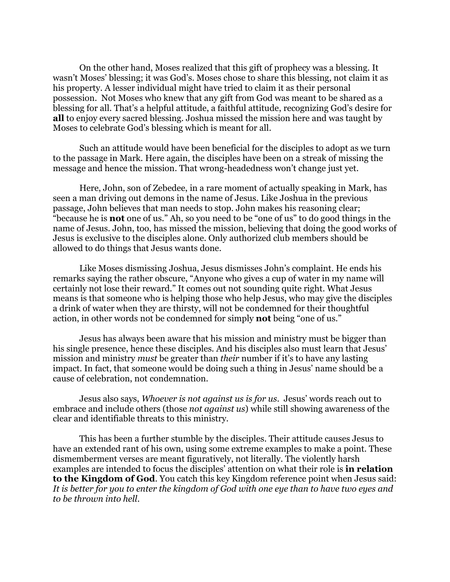On the other hand, Moses realized that this gift of prophecy was a blessing. It wasn't Moses' blessing; it was God's. Moses chose to share this blessing, not claim it as his property. A lesser individual might have tried to claim it as their personal possession. Not Moses who knew that any gift from God was meant to be shared as a blessing for all. That's a helpful attitude, a faithful attitude, recognizing God's desire for **all** to enjoy every sacred blessing. Joshua missed the mission here and was taught by Moses to celebrate God's blessing which is meant for all.

Such an attitude would have been beneficial for the disciples to adopt as we turn to the passage in Mark. Here again, the disciples have been on a streak of missing the message and hence the mission. That wrong-headedness won't change just yet.

Here, John, son of Zebedee, in a rare moment of actually speaking in Mark, has seen a man driving out demons in the name of Jesus. Like Joshua in the previous passage, John believes that man needs to stop. John makes his reasoning clear; "because he is **not** one of us." Ah, so you need to be "one of us" to do good things in the name of Jesus. John, too, has missed the mission, believing that doing the good works of Jesus is exclusive to the disciples alone. Only authorized club members should be allowed to do things that Jesus wants done.

Like Moses dismissing Joshua, Jesus dismisses John's complaint. He ends his remarks saying the rather obscure, "Anyone who gives a cup of water in my name will certainly not lose their reward." It comes out not sounding quite right. What Jesus means is that someone who is helping those who help Jesus, who may give the disciples a drink of water when they are thirsty, will not be condemned for their thoughtful action, in other words not be condemned for simply **not** being "one of us."

Jesus has always been aware that his mission and ministry must be bigger than his single presence, hence these disciples. And his disciples also must learn that Jesus' mission and ministry *must* be greater than *their* number if it's to have any lasting impact. In fact, that someone would be doing such a thing in Jesus' name should be a cause of celebration, not condemnation.

Jesus also says, *Whoever is not against us is for us*. Jesus' words reach out to embrace and include others (those *not against us*) while still showing awareness of the clear and identifiable threats to this ministry.

This has been a further stumble by the disciples. Their attitude causes Jesus to have an extended rant of his own, using some extreme examples to make a point. These dismemberment verses are meant figuratively, not literally. The violently harsh examples are intended to focus the disciples' attention on what their role is **in relation to the Kingdom of God**. You catch this key Kingdom reference point when Jesus said: *It is better for you to enter the kingdom of God with one eye than to have two eyes and to be thrown into hell*.